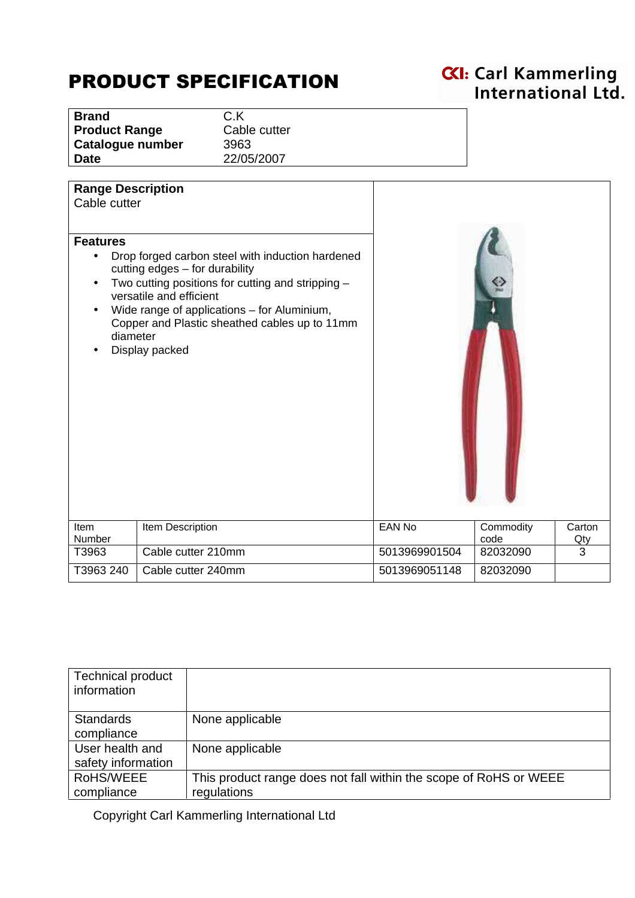## PRODUCT SPECIFICATION

## **CXI:** Carl Kammerling<br>International Ltd.

**Brand** C.K **Cable cutter Catalogue number** 3963 **Date** 22/05/2007

| <b>Range Description</b><br>Cable cutter |                                                                                                                                                                                                                                                                                      |               |                   |               |
|------------------------------------------|--------------------------------------------------------------------------------------------------------------------------------------------------------------------------------------------------------------------------------------------------------------------------------------|---------------|-------------------|---------------|
| <b>Features</b><br>diameter              | Drop forged carbon steel with induction hardened<br>cutting edges - for durability<br>Two cutting positions for cutting and stripping -<br>versatile and efficient<br>Wide range of applications - for Aluminium,<br>Copper and Plastic sheathed cables up to 11mm<br>Display packed |               |                   |               |
| Item<br>Number                           | Item Description                                                                                                                                                                                                                                                                     | <b>EAN No</b> | Commodity<br>code | Carton<br>Qty |
| T3963                                    | Cable cutter 210mm                                                                                                                                                                                                                                                                   | 5013969901504 | 82032090          | 3             |
| T3963 240                                | Cable cutter 240mm                                                                                                                                                                                                                                                                   | 5013969051148 | 82032090          |               |

| <b>Technical product</b><br>information |                                                                   |
|-----------------------------------------|-------------------------------------------------------------------|
| <b>Standards</b>                        | None applicable                                                   |
| compliance                              |                                                                   |
| User health and                         | None applicable                                                   |
| safety information                      |                                                                   |
| RoHS/WEEE                               | This product range does not fall within the scope of RoHS or WEEE |
| compliance                              | regulations                                                       |

Copyright Carl Kammerling International Ltd